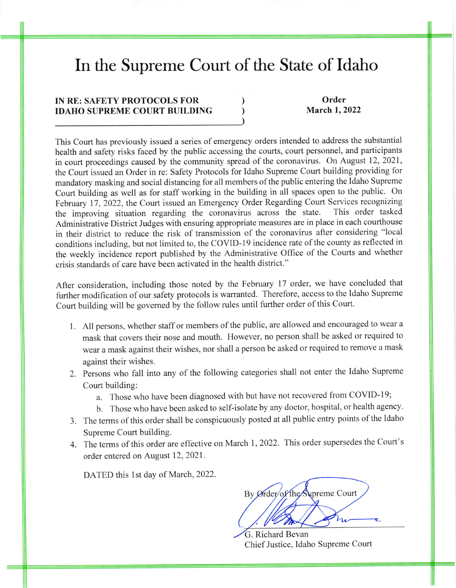## In the Supreme Court of the State of Idaho

) ) )

## IN RE: SAFETY PROTOCOLS FOR IDAHO SUPREME COURT BUILDING

Order March 1, 2022

This Court has previously issued a series of emergency orders intended to address the substantial health and safety risks faced by the public accessing the courts, court personnel, and participants in court proceedings caused by the community spread of the coronavirus. On August 12, 2021, the Court issued an Order in re: Safety Protocols for Idaho Supreme Court building providing for mandatory masking and social distancing for all members of the public entering the Idaho Supreme Court building as well as for staff working in the building in all spaces open to the public. On February 17, 2022, the Court issued an Emergency Order Regarding Court Services recognizing<br>the improving situation regarding the coronavirus across the state. This order tasked the improving situation regarding the coronavirus across the state. Administrative District Judges with ensuring appropriate measures are in place in each courthouse in their district to reduce the risk of transmission of the coronavirus after considering "local conditions including, but not limited to, the COVID-19 incidence rate of the county as reflected in the weekly incidence report published by the Administrative Office of the Courts and whether crisis standards of care have been activated in the health district."

After consideration, including those noted by the February 17 order, we have concluded that further modification of our safety protocols is warranted. Therefore, access to the Idaho Supreme Court building will be governed by the follow rules until further order of this Court.

- l. All persons, whether staff or members of the public, are allowed and encouraged to wear <sup>a</sup> mask that covers their nose and mouth. However, no person shall be asked or required to wear a mask against their wishes, nor shall a person be asked or required to remove a mask against their wishes.
- 2. Persons who fall into any of the following categories shall not enter the Idaho Supreme Court building:
	- a. Those who have been diagnosed with but have not recovered from COVID-19;
	- b. Those who have been asked to self-isolate by any doctor, hospital, or health agency.
- 3. The terms of this order shall be conspicuously posted at all public entry points of the Idaho Supreme Court building.
- 4. The terms of this order are effective on March 1, 2022. This order supersedes the Court's order entered on August 12,2021.

DATED this 1st day of March, 2022.

By Ørder of the Supreme Court

. Richard Bevan Chief Justice, Idaho Supreme Court